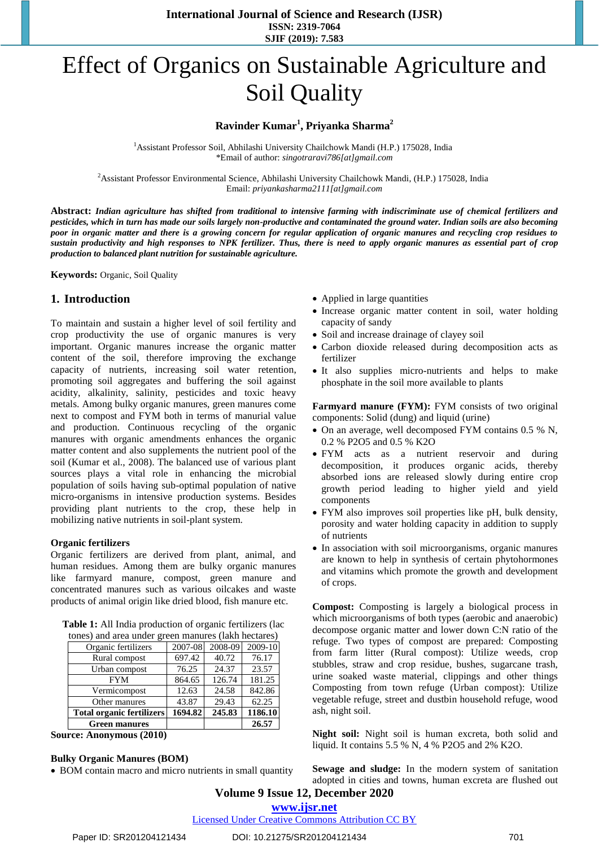**International Journal of Science and Research (IJSR) ISSN: 2319-7064 SJIF (2019): 7.583**

# Effect of Organics on Sustainable Agriculture and Soil Quality

#### **Ravinder Kumar<sup>1</sup> , Priyanka Sharma<sup>2</sup>**

<sup>1</sup> Assistant Professor Soil, Abhilashi University Chailchowk Mandi (H.P.) 175028, India \*Email of author: *[singotraravi786\[at\]gmail.com](mailto:singotraravi786@gmail.com)*

<sup>2</sup> Assistant Professor Environmental Science, Abhilashi University Chailchowk Mandi, (H.P.) 175028, India Email: *priyankasharma2111[at]gmail.com*

**Abstract:** *Indian agriculture has shifted from traditional to intensive farming with indiscriminate use of chemical fertilizers and pesticides, which in turn has made our soils largely non-productive and contaminated the ground water. Indian soils are also becoming poor in organic matter and there is a growing concern for regular application of organic manures and recycling crop residues to sustain productivity and high responses to NPK fertilizer. Thus, there is need to apply organic manures as essential part of crop production to balanced plant nutrition for sustainable agriculture.*

**Keywords:** Organic, Soil Quality

#### **1. Introduction**

To maintain and sustain a higher level of soil fertility and crop productivity the use of organic manures is very important. Organic manures increase the organic matter content of the soil, therefore improving the exchange capacity of nutrients, increasing soil water retention, promoting soil aggregates and buffering the soil against acidity, alkalinity, salinity, pesticides and toxic heavy metals. Among bulky organic manures, green manures come next to compost and FYM both in terms of manurial value and production. Continuous recycling of the organic manures with organic amendments enhances the organic matter content and also supplements the nutrient pool of the soil (Kumar et al., 2008). The balanced use of various plant sources plays a vital role in enhancing the microbial population of soils having sub-optimal population of native micro-organisms in intensive production systems. Besides providing plant nutrients to the crop, these help in mobilizing native nutrients in soil-plant system.

#### **Organic fertilizers**

Organic fertilizers are derived from plant, animal, and human residues. Among them are bulky organic manures like farmyard manure, compost, green manure and concentrated manures such as various oilcakes and waste products of animal origin like dried blood, fish manure etc.

|  | Table 1: All India production of organic fertilizers (lac |  |  |
|--|-----------------------------------------------------------|--|--|
|  | $\lambda$ $\lambda$ 1 1 $\lambda$ 1 $\lambda$             |  |  |

| tones) and area under green manures (lakh hectares) |         |         |         |  |  |
|-----------------------------------------------------|---------|---------|---------|--|--|
| Organic fertilizers                                 | 2007-08 | 2008-09 | 2009-10 |  |  |
| Rural compost                                       | 697.42  | 40.72   | 76.17   |  |  |
| Urban compost                                       | 76.25   | 24.37   | 23.57   |  |  |
| <b>FYM</b>                                          | 864.65  | 126.74  | 181.25  |  |  |
| Vermicompost                                        | 12.63   | 24.58   | 842.86  |  |  |
| Other manures                                       | 43.87   | 29.43   | 62.25   |  |  |
| <b>Total organic fertilizers</b>                    | 1694.82 | 245.83  | 1186.10 |  |  |
| <b>Green manures</b>                                |         |         | 26.57   |  |  |

**Source: Anonymous (2010)**

#### **Bulky Organic Manures (BOM)**

• BOM contain macro and micro nutrients in small quantity

- Applied in large quantities
- Increase organic matter content in soil, water holding capacity of sandy
- Soil and increase drainage of clayey soil
- Carbon dioxide released during decomposition acts as fertilizer
- It also supplies micro-nutrients and helps to make phosphate in the soil more available to plants

**Farmyard manure (FYM):** FYM consists of two original components: Solid (dung) and liquid (urine)

- On an average, well decomposed FYM contains 0.5 % N, 0.2 % P2O5 and 0.5 % K2O
- FYM acts as a nutrient reservoir and during decomposition, it produces organic acids, thereby absorbed ions are released slowly during entire crop growth period leading to higher yield and yield components
- FYM also improves soil properties like pH, bulk density, porosity and water holding capacity in addition to supply of nutrients
- In association with soil microorganisms, organic manures are known to help in synthesis of certain phytohormones and vitamins which promote the growth and development of crops.

**Compost:** Composting is largely a biological process in which microorganisms of both types (aerobic and anaerobic) decompose organic matter and lower down C:N ratio of the refuge. Two types of compost are prepared: Composting from farm litter (Rural compost): Utilize weeds, crop stubbles, straw and crop residue, bushes, sugarcane trash, urine soaked waste material, clippings and other things Composting from town refuge (Urban compost): Utilize vegetable refuge, street and dustbin household refuge, wood ash, night soil.

**Night soil:** Night soil is human excreta, both solid and liquid. It contains 5.5 % N, 4 % P2O5 and 2% K2O.

**Sewage and sludge:** In the modern system of sanitation adopted in cities and towns, human excreta are flushed out

## **Volume 9 Issue 12, December 2020**

**www.ijsr.net**

Licensed Under Creative Commons Attribution CC BY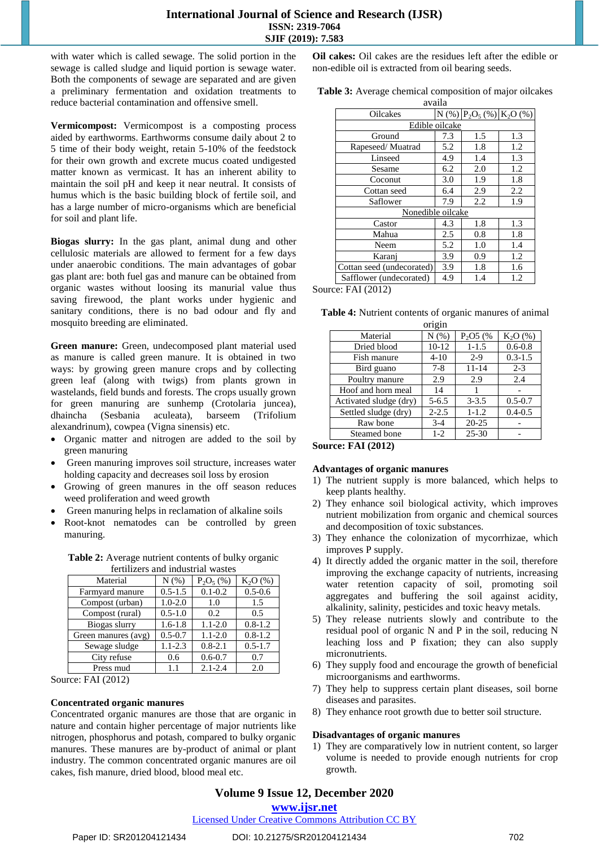with water which is called sewage. The solid portion in the sewage is called sludge and liquid portion is sewage water. Both the components of sewage are separated and are given a preliminary fermentation and oxidation treatments to reduce bacterial contamination and offensive smell.

**Vermicompost:** Vermicompost is a composting process aided by earthworms. Earthworms consume daily about 2 to 5 time of their body weight, retain 5-10% of the feedstock for their own growth and excrete mucus coated undigested matter known as vermicast. It has an inherent ability to maintain the soil pH and keep it near neutral. It consists of humus which is the basic building block of fertile soil, and has a large number of micro-organisms which are beneficial for soil and plant life.

**Biogas slurry:** In the gas plant, animal dung and other cellulosic materials are allowed to ferment for a few days under anaerobic conditions. The main advantages of gobar gas plant are: both fuel gas and manure can be obtained from organic wastes without loosing its manurial value thus saving firewood, the plant works under hygienic and sanitary conditions, there is no bad odour and fly and mosquito breeding are eliminated.

**Green manure:** Green, undecomposed plant material used as manure is called green manure. It is obtained in two ways: by growing green manure crops and by collecting green leaf (along with twigs) from plants grown in wastelands, field bunds and forests. The crops usually grown for green manuring are sunhemp (Crotolaria juncea), dhaincha (Sesbania aculeata), barseem (Trifolium alexandrinum), cowpea (Vigna sinensis) etc.

- Organic matter and nitrogen are added to the soil by green manuring
- Green manuring improves soil structure, increases water holding capacity and decreases soil loss by erosion
- Growing of green manures in the off season reduces weed proliferation and weed growth
- Green manuring helps in reclamation of alkaline soils
- Root-knot nematodes can be controlled by green manuring.

| fertilizers and industrial wastes |             |             |             |  |  |  |
|-----------------------------------|-------------|-------------|-------------|--|--|--|
| Material                          | N(% )       | $P_2O_5(%)$ | $K_2O(%)$   |  |  |  |
| Farmyard manure                   | $0.5 - 1.5$ | $0.1 - 0.2$ | $0.5 - 0.6$ |  |  |  |
| Compost (urban)                   | $1.0 - 2.0$ | 1.0         | 1.5         |  |  |  |
| Compost (rural)                   | $0.5 - 1.0$ | 0.2         | 0.5         |  |  |  |
| Biogas slurry                     | $1.6 - 1.8$ | $1.1 - 2.0$ | $0.8 - 1.2$ |  |  |  |
| Green manures (avg)               | $0.5 - 0.7$ | $1.1 - 2.0$ | $0.8 - 1.2$ |  |  |  |
| Sewage sludge                     | $1.1 - 2.3$ | $0.8 - 2.1$ | $0.5 - 1.7$ |  |  |  |
| City refuse                       | 0.6         | $0.6 - 0.7$ | 0.7         |  |  |  |
| Press mud                         | 1.1         | $2.1 - 2.4$ | 2.0         |  |  |  |

Table 2: Average nutrient contents of bulky organic

Source: FAI (2012)

#### **Concentrated organic manures**

Concentrated organic manures are those that are organic in nature and contain higher percentage of major nutrients like nitrogen, phosphorus and potash, compared to bulky organic manures. These manures are by-product of animal or plant industry. The common concentrated organic manures are oil cakes, fish manure, dried blood, blood meal etc.

**Oil cakes:** Oil cakes are the residues left after the edible or non-edible oil is extracted from oil bearing seeds.

| availa                    |     |                                 |     |  |  |  |
|---------------------------|-----|---------------------------------|-----|--|--|--|
| <b>Oilcakes</b>           |     | $N$ (%) $P_2O_5$ (%) $K_2O$ (%) |     |  |  |  |
| Edible oilcake            |     |                                 |     |  |  |  |
| Ground                    | 7.3 | 1.5                             | 1.3 |  |  |  |
| Rapeseed/Muatrad          | 5.2 | 1.8                             | 1.2 |  |  |  |
| Linseed                   | 4.9 | 1.4                             | 1.3 |  |  |  |
| Sesame                    | 6.2 | 2.0                             | 1.2 |  |  |  |
| Coconut                   | 3.0 | 1.9                             | 1.8 |  |  |  |
| Cottan seed               | 6.4 | 2.9                             | 2.2 |  |  |  |
| Saflower                  | 7.9 | 2.2                             | 1.9 |  |  |  |
| Nonedible oilcake         |     |                                 |     |  |  |  |
| Castor                    | 4.3 | 1.8                             | 1.3 |  |  |  |
| Mahua                     | 2.5 | 0.8                             | 1.8 |  |  |  |
| Neem                      | 5.2 | 1.0                             | 1.4 |  |  |  |
| Karanj                    | 3.9 | 0.9                             | 1.2 |  |  |  |
| Cottan seed (undecorated) | 3.9 | 1.8                             | 1.6 |  |  |  |
| Safflower (undecorated)   | 4.9 | 1.4                             | 1.2 |  |  |  |

Source: FAI (2012)

| origin                 |           |           |             |  |  |  |
|------------------------|-----------|-----------|-------------|--|--|--|
| Material               | N(%)      | $P_2O5(%$ | $K_2O(%)$   |  |  |  |
| Dried blood            | $10-12$   | $1 - 1.5$ | $0.6 - 0.8$ |  |  |  |
| Fish manure            | $4 - 10$  | $2-9$     | $0.3 - 1.5$ |  |  |  |
| Bird guano             | $7 - 8$   | $11 - 14$ | $2 - 3$     |  |  |  |
| Poultry manure         | 2.9       | 2.9       | 2.4         |  |  |  |
| Hoof and horn meal     | 14        |           |             |  |  |  |
| Activated sludge (dry) | $5 - 6.5$ | $3 - 3.5$ | $0.5 - 0.7$ |  |  |  |
| Settled sludge (dry)   | $2 - 2.5$ | $1 - 1.2$ | $0.4 - 0.5$ |  |  |  |
| Raw bone               | $3-4$     | $20 - 25$ |             |  |  |  |
| Steamed bone           | $1-2$     | $25 - 30$ |             |  |  |  |

| Table 4: Nutrient contents of organic manures of animal |  |  |  |  |  |  |  |
|---------------------------------------------------------|--|--|--|--|--|--|--|
|                                                         |  |  |  |  |  |  |  |

**Source: FAI (2012)**

#### **Advantages of organic manures**

- 1) The nutrient supply is more balanced, which helps to keep plants healthy.
- 2) They enhance soil biological activity, which improves nutrient mobilization from organic and chemical sources and decomposition of toxic substances.
- 3) They enhance the colonization of mycorrhizae, which improves P supply.
- 4) It directly added the organic matter in the soil, therefore improving the exchange capacity of nutrients, increasing water retention capacity of soil, promoting soil aggregates and buffering the soil against acidity, alkalinity, salinity, pesticides and toxic heavy metals.
- 5) They release nutrients slowly and contribute to the residual pool of organic N and P in the soil, reducing N leaching loss and P fixation; they can also supply micronutrients.
- 6) They supply food and encourage the growth of beneficial microorganisms and earthworms.
- 7) They help to suppress certain plant diseases, soil borne diseases and parasites.
- 8) They enhance root growth due to better soil structure.

#### **Disadvantages of organic manures**

1) They are comparatively low in nutrient content, so larger volume is needed to provide enough nutrients for crop growth.

### **Volume 9 Issue 12, December 2020**

**www.ijsr.net**

Licensed Under Creative Commons Attribution CC BY